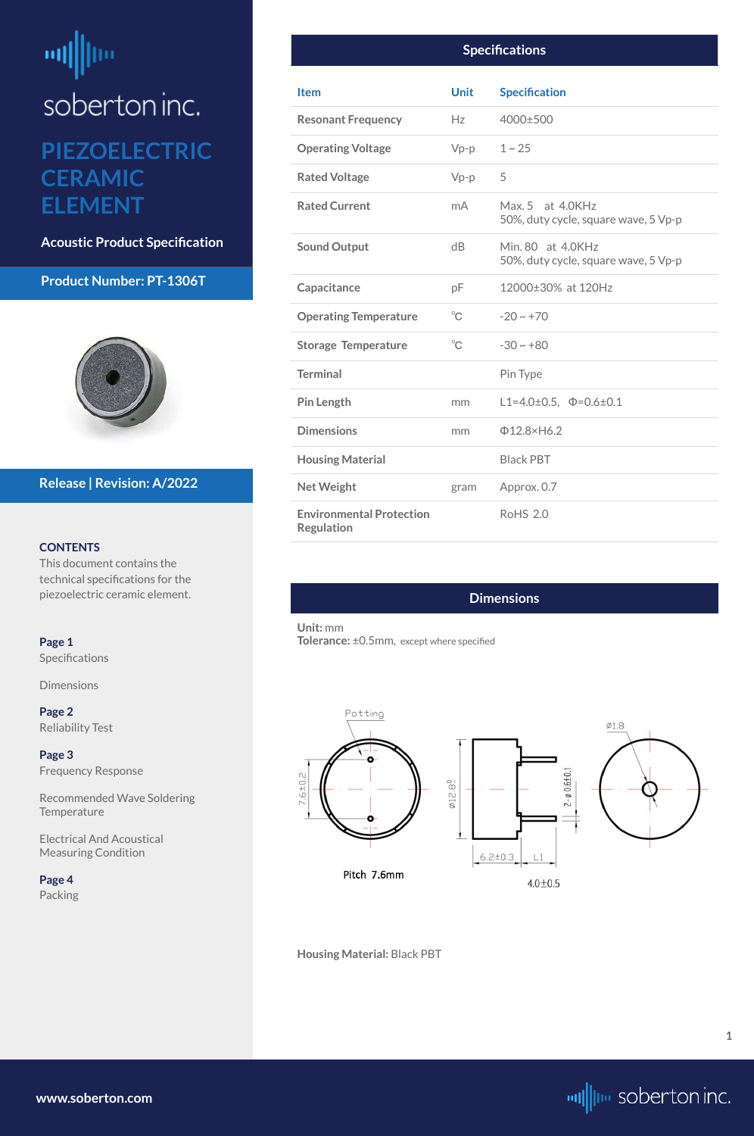# <span id="page-0-0"></span>咖 ļm soberton inc. **PIEZOELECTRIC**

**CERAMIC ELEMENT**

**Acoustic Product Specification**

#### **Product Number: PT-1306T**



#### **CONTENTS**

[Recommended Wave Soldering](#page-2-0)  **[Temperature](#page-2-0)** 

This document contains the technical specifications for the piezoelectric ceramic element.

**Page 1** Specifications

Dimensions

**[Page 2](#page-1-0)** [Reliability Test](#page-1-0)

**[Page 3](#page-2-0)** [Frequency Response](#page-2-0)

Electrical And Acoustical Measuring Condition





 $4.0 + 0.5$ 

#### **Release | Revision: A/2022**

**[www.soberton.com](http://www.soberton.com)**



**1**

#### **Specifications**

| <b>Item</b>                                          | <b>Unit</b>  | <b>Specification</b>                                      |
|------------------------------------------------------|--------------|-----------------------------------------------------------|
| <b>Resonant Frequency</b>                            | Hz           | 4000±500                                                  |
| <b>Operating Voltage</b>                             | $Vp-p$       | $1 - 25$                                                  |
| <b>Rated Voltage</b>                                 | $Vp-p$       | 5                                                         |
| <b>Rated Current</b>                                 | mA           | Max. 5 at 4.0KHz<br>50%, duty cycle, square wave, 5 Vp-p  |
| <b>Sound Output</b>                                  | dB           | Min. 80 at 4.0KHz<br>50%, duty cycle, square wave, 5 Vp-p |
| Capacitance                                          | pF           | 12000±30% at 120Hz                                        |
| <b>Operating Temperature</b>                         | $^{\circ}$ C | $-20 \sim +70$                                            |
| <b>Storage Temperature</b>                           | $^{\circ}C$  | $-30 \sim +80$                                            |
| <b>Terminal</b>                                      |              | Pin Type                                                  |
| <b>Pin Length</b>                                    | mm           | L1=4.0±0.5, $\Phi$ =0.6±0.1                               |
| <b>Dimensions</b>                                    | mm           | $\Phi$ 12.8×H6.2                                          |
| <b>Housing Material</b>                              |              | <b>Black PBT</b>                                          |
| <b>Net Weight</b>                                    | gram         | Approx. 0.7                                               |
| <b>Environmental Protection</b><br><b>Regulation</b> |              | <b>RoHS 2.0</b>                                           |

#### **Dimensions**

**Unit:** mm **Tolerance:** ±0.5mm, except where specified



#### **Housing Material:** Black PBT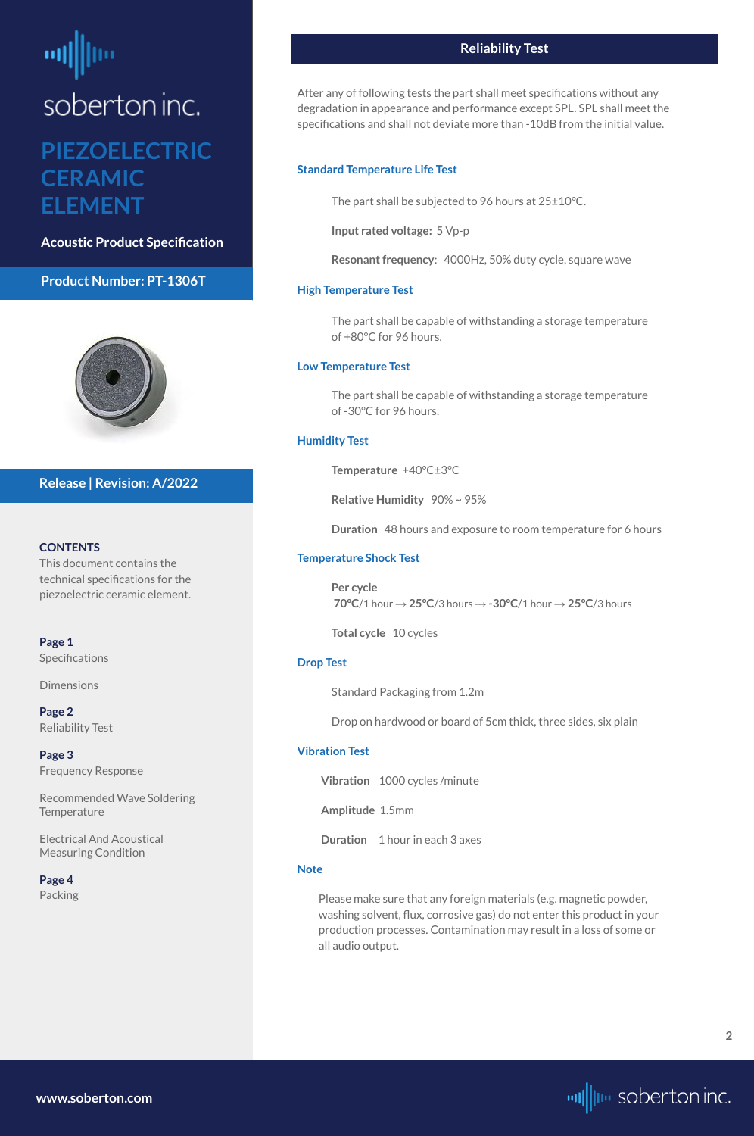# <span id="page-1-0"></span>soberton inc.

### **PIEZOELECTRIC CERAMIC ELEMENT**

**Acoustic Product Specification**

#### **Product Number: PT-1306T**



#### **CONTENTS**

**[Page 1](#page-0-0) Specifications** 

[Recommended Wave Soldering](#page-2-0)  **[Temperature](#page-2-0)** 

This document contains the technical specifications for the piezoelectric ceramic element.

[Dimensions](#page-0-0)

**Page 2** Reliability Test

**[Page 3](#page-2-0)** [Frequency Response](#page-2-0)

Electrical And Acoustical Measuring Condition

**[Page 4](#page-3-0)** [Packing](#page-3-0)

#### **Release | Revision: A/2022**

#### **Reliability Test**

After any of following tests the part shall meet specifications without any degradation in appearance and performance except SPL. SPL shall meet the specifications and shall not deviate more than -10dB from the initial value.

#### **Standard Temperature Life Test**

The part shall be subjected to 96 hours at 25±10°C.

**Input rated voltage:** 5 Vp-p

**Resonant frequency**: 4000Hz, 50% duty cycle, square wave

#### **High Temperature Test**

The part shall be capable of withstanding a storage temperature of +80°C for 96 hours.

#### **Low Temperature Test**

The part shall be capable of withstanding a storage temperature of -30°C for 96 hours.

#### **Humidity Test**

**Temperature** +40°C±3°C

**Relative Humidity** 90% ~ 95%

**Duration** 48 hours and exposure to room temperature for 6 hours

#### **Temperature Shock Test**

**Per cycle 70°C**/1 hour → **25°C**/3 hours → **-30°C**/1 hour → **25°C**/3 hours

**Total cycle** 10 cycles

#### **Drop Test**

Standard Packaging from 1.2m

Drop on hardwood or board of 5cm thick, three sides, six plain

#### **Vibration Test**

**Vibration** 1000 cycles /minute

**Amplitude** 1.5mm

**Duration** 1 hour in each 3 axes

#### **Note**

Please make sure that any foreign materials (e.g. magnetic powder, washing solvent, flux, corrosive gas) do not enter this product in your production processes. Contamination may result in a loss of some or all audio output.

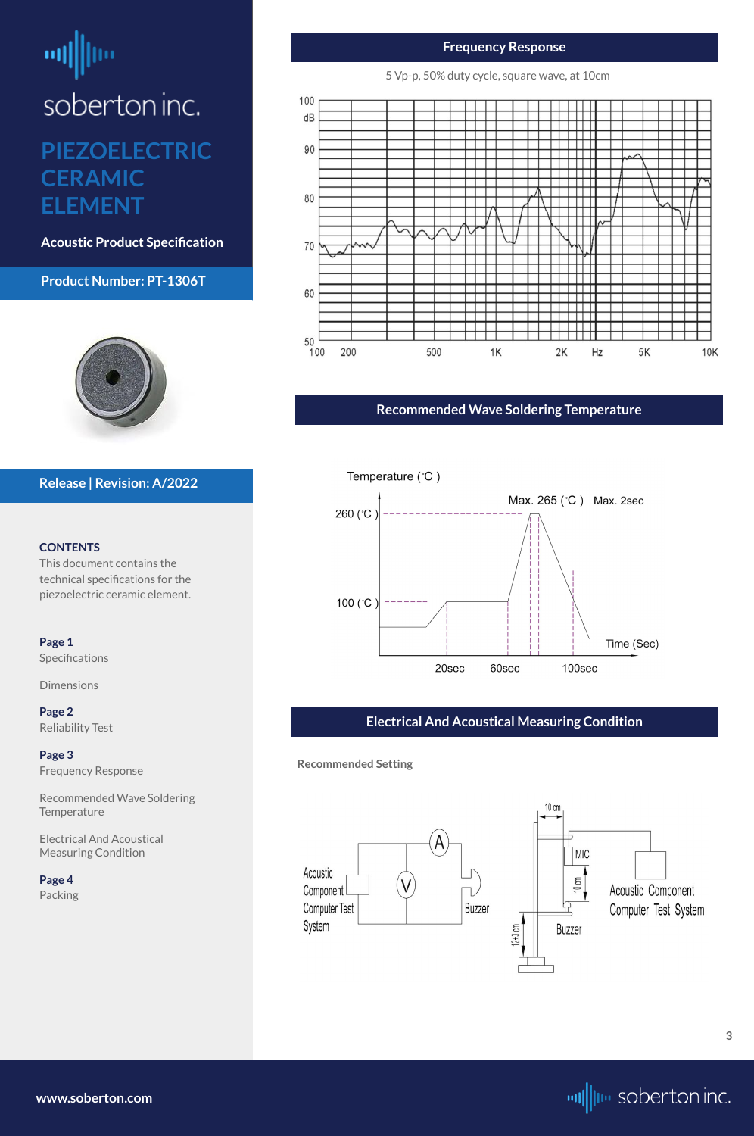# <span id="page-2-0"></span>ᆒ

soberton inc.

## **PIEZOELECTRIC CERAMIC ELEMENT**

**Acoustic Product Specification**

#### **Product Number: PT-1306T**



#### **CONTENTS**

Recommended Wave Soldering **Temperature** 

This document contains the technical specifications for the piezoelectric ceramic element.

**[Page 1](#page-0-0)** [Specifications](#page-0-0) 

[Dimensions](#page-0-0)

**[Page 2](#page-1-0)** [Reliability Test](#page-1-0)

**Page 3** Frequency Response

Electrical And Acoustical Measuring Condition

**[Page 4](#page-3-0)** [Packing](#page-3-0)

#### **Release | Revision: A/2022**

**[www.soberton.com](http://www.soberton.com)**



#### **Frequency Response**

5 Vp-p, 50% duty cycle, square wave, at 10cm



#### **Recommended Wave Soldering Temperature**



#### **Electrical And Acoustical Measuring Condition**

**Recommended Setting**